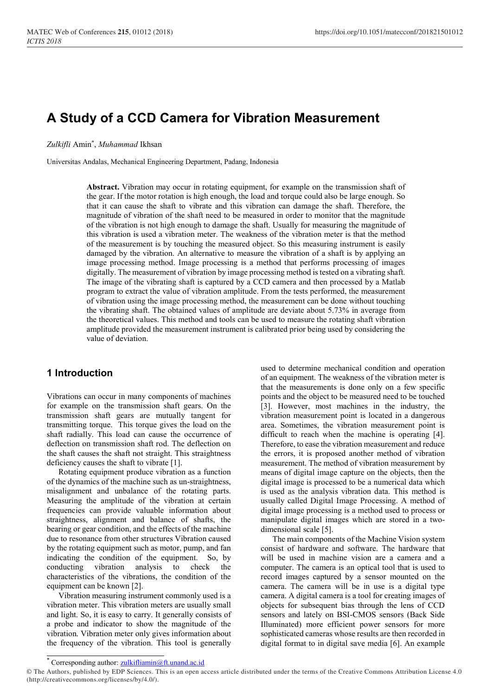# A Study of a CCD Camera for Vibration Measurement

Zulkifli Amin\* , Muhammad Ikhsan

Universitas Andalas, Mechanical Engineering Department, Padang, Indonesia

Abstract. Vibration may occur in rotating equipment, for example on the transmission shaft of the gear. If the motor rotation is high enough, the load and torque could also be large enough. So that it can cause the shaft to vibrate and this vibration can damage the shaft. Therefore, the magnitude of vibration of the shaft need to be measured in order to monitor that the magnitude of the vibration is not high enough to damage the shaft. Usually for measuring the magnitude of this vibration is used a vibration meter. The weakness of the vibration meter is that the method of the measurement is by touching the measured object. So this measuring instrument is easily damaged by the vibration. An alternative to measure the vibration of a shaft is by applying an image processing method. Image processing is a method that performs processing of images digitally. The measurement of vibration by image processing method is tested on a vibrating shaft. The image of the vibrating shaft is captured by a CCD camera and then processed by a Matlab program to extract the value of vibration amplitude. From the tests performed, the measurement of vibration using the image processing method, the measurement can be done without touching the vibrating shaft. The obtained values of amplitude are deviate about 5.73% in average from the theoretical values. This method and tools can be used to measure the rotating shaft vibration amplitude provided the measurement instrument is calibrated prior being used by considering the value of deviation.

### 1 Introduction

Vibrations can occur in many components of machines for example on the transmission shaft gears. On the transmission shaft gears are mutually tangent for transmitting torque. This torque gives the load on the shaft radially. This load can cause the occurrence of deflection on transmission shaft rod. The deflection on the shaft causes the shaft not straight. This straightness deficiency causes the shaft to vibrate [1].

Rotating equipment produce vibration as a function of the dynamics of the machine such as un-straightness, misalignment and unbalance of the rotating parts. Measuring the amplitude of the vibration at certain frequencies can provide valuable information about straightness, alignment and balance of shafts, the bearing or gear condition, and the effects of the machine due to resonance from other structures Vibration caused by the rotating equipment such as motor, pump, and fan indicating the condition of the equipment. So, by conducting vibration analysis to check the characteristics of the vibrations, the condition of the equipment can be known [2].

Vibration measuring instrument commonly used is a vibration meter. This vibration meters are usually small and light. So, it is easy to carry. It generally consists of a probe and indicator to show the magnitude of the vibration. Vibration meter only gives information about the frequency of the vibration. This tool is generally

used to determine mechanical condition and operation of an equipment. The weakness of the vibration meter is that the measurements is done only on a few specific points and the object to be measured need to be touched [3]. However, most machines in the industry, the vibration measurement point is located in a dangerous area. Sometimes, the vibration measurement point is difficult to reach when the machine is operating [4]. Therefore, to ease the vibration measurement and reduce the errors, it is proposed another method of vibration measurement. The method of vibration measurement by means of digital image capture on the objects, then the digital image is processed to be a numerical data which is used as the analysis vibration data. This method is usually called Digital Image Processing. A method of digital image processing is a method used to process or manipulate digital images which are stored in a twodimensional scale [5].

The main components of the Machine Vision system consist of hardware and software. The hardware that will be used in machine vision are a camera and a computer. The camera is an optical tool that is used to record images captured by a sensor mounted on the camera. The camera will be in use is a digital type camera. A digital camera is a tool for creating images of objects for subsequent bias through the lens of CCD sensors and lately on BSI-CMOS sensors (Back Side Illuminated) more efficient power sensors for more sophisticated cameras whose results are then recorded in digital format to in digital save media [6]. An example

Corresponding author: zulkifliamin@ft.unand.ac.id

<sup>©</sup> The Authors, published by EDP Sciences. This is an open access article distributed under the terms of the Creative Commons Attribution License 4.0 (http://creativecommons.org/licenses/by/4.0/).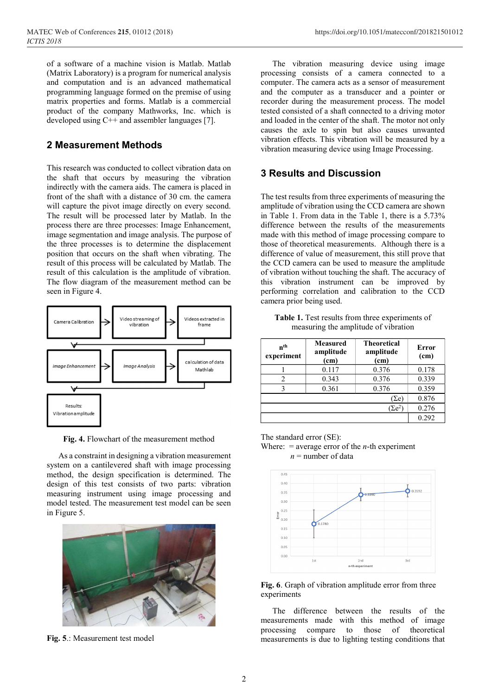of a software of a machine vision is Matlab. Matlab (Matrix Laboratory) is a program for numerical analysis and computation and is an advanced mathematical programming language formed on the premise of using matrix properties and forms. Matlab is a commercial product of the company Mathworks, Inc. which is developed using C++ and assembler languages [7].

### 2 Measurement Methods

This research was conducted to collect vibration data on the shaft that occurs by measuring the vibration indirectly with the camera aids. The camera is placed in front of the shaft with a distance of 30 cm. the camera will capture the pivot image directly on every second. The result will be processed later by Matlab. In the process there are three processes: Image Enhancement, image segmentation and image analysis. The purpose of the three processes is to determine the displacement position that occurs on the shaft when vibrating. The result of this process will be calculated by Matlab. The result of this calculation is the amplitude of vibration. The flow diagram of the measurement method can be seen in Figure 4.



Fig. 4. Flowchart of the measurement method

As a constraint in designing a vibration measurement system on a cantilevered shaft with image processing method, the design specification is determined. The design of this test consists of two parts: vibration measuring instrument using image processing and model tested. The measurement test model can be seen in Figure 5.



Fig. 5.: Measurement test model

The vibration measuring device using image processing consists of a camera connected to a computer. The camera acts as a sensor of measurement and the computer as a transducer and a pointer or recorder during the measurement process. The model tested consisted of a shaft connected to a driving motor and loaded in the center of the shaft. The motor not only causes the axle to spin but also causes unwanted vibration effects. This vibration will be measured by a vibration measuring device using Image Processing.

## 3 Results and Discussion

The test results from three experiments of measuring the amplitude of vibration using the CCD camera are shown in Table 1. From data in the Table 1, there is a 5.73% difference between the results of the measurements made with this method of image processing compare to those of theoretical measurements. Although there is a difference of value of measurement, this still prove that the CCD camera can be used to measure the amplitude of vibration without touching the shaft. The accuracy of this vibration instrument can be improved by performing correlation and calibration to the CCD camera prior being used.

Table 1. Test results from three experiments of measuring the amplitude of vibration

| n <sup>th</sup><br>experiment | <b>Measured</b><br>amplitude<br>(cm) | <b>Theoretical</b><br>amplitude<br>(cm) | Error<br>(cm) |
|-------------------------------|--------------------------------------|-----------------------------------------|---------------|
|                               | 0.117                                | 0.376                                   | 0.178         |
| 2                             | 0.343                                | 0.376                                   | 0.339         |
| 3                             | 0.361                                | 0.376                                   | 0.359         |
|                               |                                      | $\sum e$                                | 0.876         |
|                               |                                      | $(\Sigma e^2)$                          | 0.276         |
|                               |                                      |                                         | 0.292         |

The standard error (SE):

Where:  $=$  average error of the *n*-th experiment  $n =$  number of data



Fig. 6. Graph of vibration amplitude error from three experiments

The difference between the results of the measurements made with this method of image processing compare to those of theoretical measurements is due to lighting testing conditions that